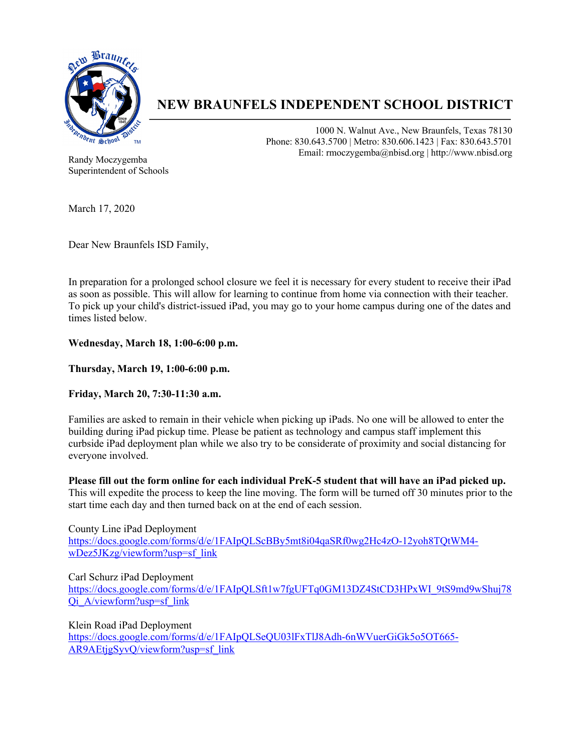

# **NEW BRAUNFELS INDEPENDENT SCHOOL DISTRICT**

1000 N. Walnut Ave., New Braunfels, Texas 78130 Phone: 830.643.5700 | Metro: 830.606.1423 | Fax: 830.643.5701 Email: rmoczygemba@nbisd.org | http://www.nbisd.org

Randy Moczygemba Superintendent of Schools

March 17, 2020

Dear New Braunfels ISD Family,

In preparation for a prolonged school closure we feel it is necessary for every student to receive their iPad as soon as possible. This will allow for learning to continue from home via connection with their teacher. To pick up your child's district-issued iPad, you may go to your home campus during one of the dates and times listed below.

**Wednesday, March 18, 1:00-6:00 p.m.**

**Thursday, March 19, 1:00-6:00 p.m.**

**Friday, March 20, 7:30-11:30 a.m.**

Families are asked to remain in their vehicle when picking up iPads. No one will be allowed to enter the building during iPad pickup time. Please be patient as technology and campus staff implement this curbside iPad deployment plan while we also try to be considerate of proximity and social distancing for everyone involved.

**Please fill out the form online for each individual PreK-5 student that will have an iPad picked up.** This will expedite the process to keep the line moving. The form will be turned off 30 minutes prior to the start time each day and then turned back on at the end of each session.

County Line iPad Deployment https://docs.google.com/forms/d/e/1FAIpQLScBBy5mt8i04qaSRf0wg2Hc4zO-12yoh8TQtWM4 wDez5JKzg/viewform?usp=sf\_link

Carl Schurz iPad Deployment

https://docs.google.com/forms/d/e/1FAIpQLSft1w7fgUFTq0GM13DZ4StCD3HPxWI\_9tS9md9wShuj78 Qi\_A/viewform?usp=sf\_link

Klein Road iPad Deployment https://docs.google.com/forms/d/e/1FAIpQLSeQU03lFxTlJ8Adh-6nWVuerGiGk5o5OT665- AR9AEtjgSyvQ/viewform?usp=sf\_link